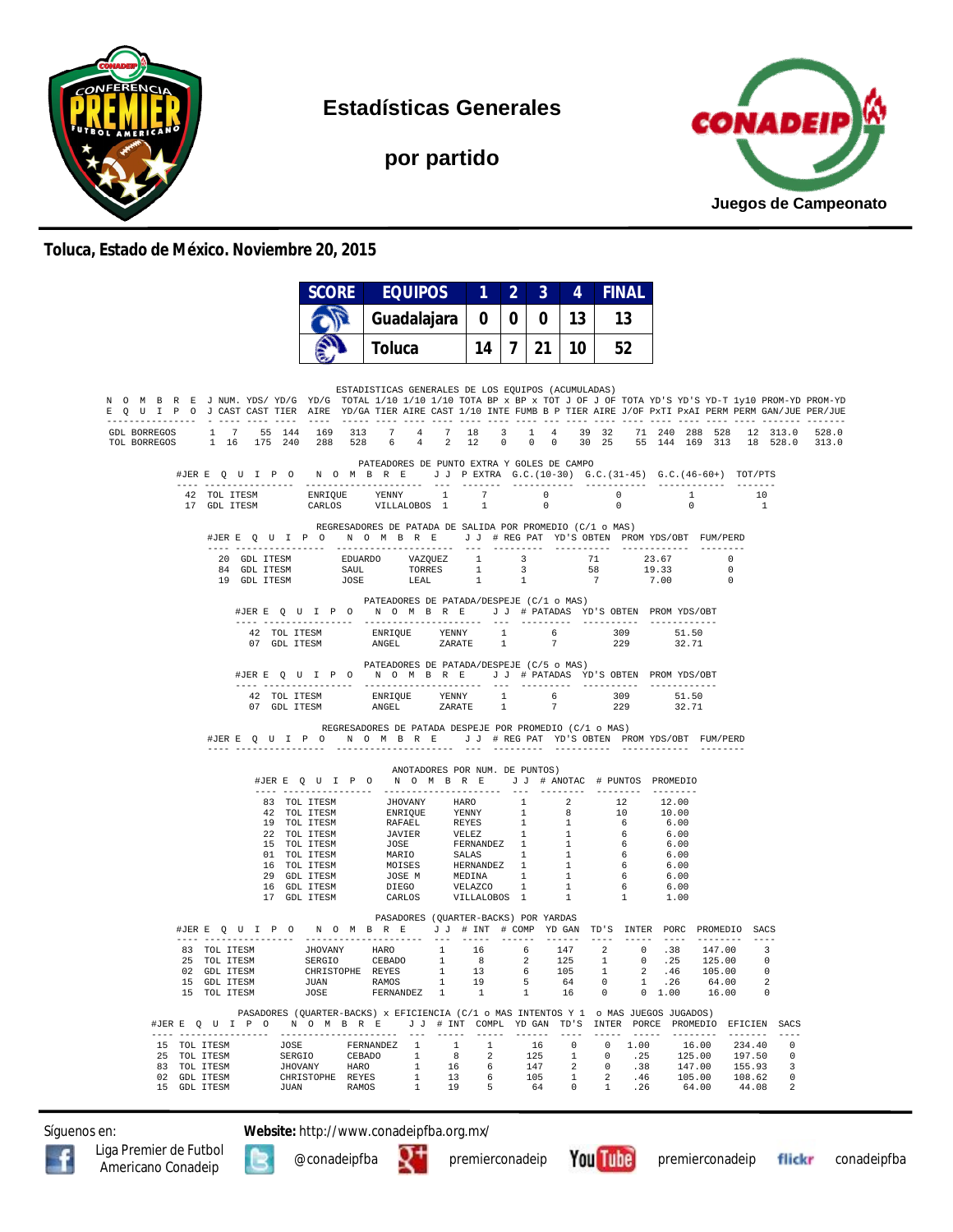

**Estadísticas Generales**

**por partido**



## **Toluca, Estado de México. Noviembre 20, 2015**

|                                                                                                                                                                                                                                                        |                                                                                                                                                                                                                                     | <b>SCORE</b>          | <b>EQUIPOS</b>                                                                                                                                                                                                                                                                                                                                                                                                                                  | 112 |              | $\overline{3}$ | 4               | <b>FINAL</b> |                                                                                                                                                          |                                                   |                      |                |
|--------------------------------------------------------------------------------------------------------------------------------------------------------------------------------------------------------------------------------------------------------|-------------------------------------------------------------------------------------------------------------------------------------------------------------------------------------------------------------------------------------|-----------------------|-------------------------------------------------------------------------------------------------------------------------------------------------------------------------------------------------------------------------------------------------------------------------------------------------------------------------------------------------------------------------------------------------------------------------------------------------|-----|--------------|----------------|-----------------|--------------|----------------------------------------------------------------------------------------------------------------------------------------------------------|---------------------------------------------------|----------------------|----------------|
|                                                                                                                                                                                                                                                        |                                                                                                                                                                                                                                     |                       | Guadalajara                                                                                                                                                                                                                                                                                                                                                                                                                                     | 0   | 0            | 0              | 13              | 13           |                                                                                                                                                          |                                                   |                      |                |
|                                                                                                                                                                                                                                                        |                                                                                                                                                                                                                                     |                       | <b>Toluca</b>                                                                                                                                                                                                                                                                                                                                                                                                                                   | 14  | $\mathbf{7}$ | 21             | 10 <sup>1</sup> | 52           |                                                                                                                                                          |                                                   |                      |                |
|                                                                                                                                                                                                                                                        |                                                                                                                                                                                                                                     |                       |                                                                                                                                                                                                                                                                                                                                                                                                                                                 |     |              |                |                 |              |                                                                                                                                                          |                                                   |                      |                |
| N O M B R E J NUM. YDS/YD/G YD/G TOTAL 1/10 1/10 1/10 TOTA BP x BP x TOT J OF J OF TOTA YD'S YD-T 1y10 PROM-YD PROM-YD<br>E Q U I P O J CAST CAST TIER AIRE YD/GA TIER AIRE CAST 1/10 INTE FUMB B P TIER AIRE J/OF PxTI PxAI PERM PERM GAN/JUE PER/JUE |                                                                                                                                                                                                                                     |                       | ESTADISTICAS GENERALES DE LOS EQUIPOS (ACUMULADAS)                                                                                                                                                                                                                                                                                                                                                                                              |     |              |                |                 |              |                                                                                                                                                          |                                                   |                      |                |
| GDL BORREGOS<br>TOL BORREGOS                                                                                                                                                                                                                           | $\begin{array}{cccc} 1 & 7 & 55 & 144 \\ 1 & 16 & 175 & 240 \end{array}$                                                                                                                                                            | 169 313<br>288 528    | $\begin{array}{cccccc} 7 & & 4 & & 7 & & 18 \\ 6 & & 4 & & 2 & & 12 \end{array}$                                                                                                                                                                                                                                                                                                                                                                |     |              |                |                 |              | $\begin{array}{cccccccc} 3 & 1 & 4 & 39 & 32 & 71 & 240 & 288 & 528 & 12 & 313.0 \\ 0 & 0 & 0 & 30 & 25 & 55 & 144 & 169 & 313 & 18 & 528.0 \end{array}$ |                                                   |                      | 528.0<br>313.0 |
|                                                                                                                                                                                                                                                        | #JERE Q U I P O N O M B R E J J PEXTRA G.C. (10-30) G.C. (31-45) G.C. (46-60+) TOT/PTS                                                                                                                                              |                       | PATEADORES DE PUNTO EXTRA Y GOLES DE CAMPO                                                                                                                                                                                                                                                                                                                                                                                                      |     |              |                |                 |              |                                                                                                                                                          |                                                   |                      |                |
|                                                                                                                                                                                                                                                        |                                                                                                                                                                                                                                     |                       |                                                                                                                                                                                                                                                                                                                                                                                                                                                 |     |              |                |                 |              | $\overline{\phantom{0}}$                                                                                                                                 | $\begin{array}{c} \text{---} \\ 1 \\ \end{array}$ | 10<br>$\overline{1}$ |                |
|                                                                                                                                                                                                                                                        |                                                                                                                                                                                                                                     |                       | REGRESADORES DE PATADA DE SALIDA POR PROMEDIO (C/1 o MAS)<br>#JERE QUIPO NOMBRE JJ #REGPAT YD'S OBTEN PROMYDS/OBT FUM/PERD                                                                                                                                                                                                                                                                                                                      |     |              |                |                 |              |                                                                                                                                                          |                                                   |                      |                |
|                                                                                                                                                                                                                                                        |                                                                                                                                                                                                                                     |                       |                                                                                                                                                                                                                                                                                                                                                                                                                                                 |     |              |                |                 |              |                                                                                                                                                          |                                                   |                      |                |
|                                                                                                                                                                                                                                                        |                                                                                                                                                                                                                                     |                       | $\begin{tabular}{cccccccc} 20 & GDL TTESM & & & EDUARDO & & VAZQUEZ & & 1 & & 3 & & 71 & & 23.67 & & 0 \\ 84 & GDL TTESM & & & SADL & & & TORRES & & 1 & & 3 & & 58 & & 19.33 & & 0 \\ 19 & GDL TTESM & & & & JOSE & & & LEAL & & 1 & & 1 & & 7 & & 7.00 & & 0 \\ \end{tabular}$                                                                                                                                                                |     |              |                |                 |              |                                                                                                                                                          |                                                   |                      |                |
|                                                                                                                                                                                                                                                        |                                                                                                                                                                                                                                     | ---- ---------------- | PATEADORES DE PATADA/DESPEJE (C/1 o MAS)<br>#JERE Q U I P O N O M B R E J J # PATADAS YD'S OBTEN PROMYDS/OBT                                                                                                                                                                                                                                                                                                                                    |     |              |                |                 |              |                                                                                                                                                          |                                                   |                      |                |
|                                                                                                                                                                                                                                                        |                                                                                                                                                                                                                                     |                       | $\begin{tabular}{lcccccc} \texttt{--} & \texttt{---} & \texttt{---} & \texttt{---} & \texttt{---} & \texttt{---} & \texttt{---} & \texttt{---} & \texttt{---} & \texttt{---} & \texttt{---} & \texttt{---} & \texttt{---} & \texttt{---} \\ \texttt{42 TOL ITESM} & \texttt{ENEN} & \texttt{ENRIQUE} & \texttt{YENNY} & 1 & 6 & 309 & 51.50 \\ \texttt{07 GDL ITESM} & \texttt{ANGEL} & \texttt{ZARATE} & 1 & 7 & 229 & 32.71 \\ \end{tabular}$ |     |              |                |                 |              |                                                                                                                                                          |                                                   |                      |                |
|                                                                                                                                                                                                                                                        |                                                                                                                                                                                                                                     |                       | PATEADORES DE PATADA/DESPEJE (C/5 o MAS)                                                                                                                                                                                                                                                                                                                                                                                                        |     |              |                |                 |              |                                                                                                                                                          |                                                   |                      |                |
|                                                                                                                                                                                                                                                        |                                                                                                                                                                                                                                     |                       | #JERE Q U I P O N O M B R E J J # PATADAS YD'S OBTEN PROMYDS/OBT                                                                                                                                                                                                                                                                                                                                                                                |     |              |                |                 |              |                                                                                                                                                          |                                                   |                      |                |
|                                                                                                                                                                                                                                                        |                                                                                                                                                                                                                                     |                       |                                                                                                                                                                                                                                                                                                                                                                                                                                                 |     |              |                |                 |              |                                                                                                                                                          |                                                   |                      |                |
|                                                                                                                                                                                                                                                        |                                                                                                                                                                                                                                     |                       | REGRESADORES DE PATADA DESPEJE POR PROMEDIO (C/1 o MAS)<br>#JERE Q U I P O N O M B R E J J # REG PAT YD'S OBTEN PROMYDS/OBT FUM/PERD                                                                                                                                                                                                                                                                                                            |     |              |                |                 |              |                                                                                                                                                          |                                                   |                      |                |
|                                                                                                                                                                                                                                                        |                                                                                                                                                                                                                                     |                       | ANOTADORES POR NUM. DE PUNTOS)                                                                                                                                                                                                                                                                                                                                                                                                                  |     |              |                |                 |              |                                                                                                                                                          |                                                   |                      |                |
|                                                                                                                                                                                                                                                        |                                                                                                                                                                                                                                     |                       | #JERE Q U I P O N O M B R E J J # ANOTAC # PUNTOS PROMEDIO                                                                                                                                                                                                                                                                                                                                                                                      |     |              |                |                 |              |                                                                                                                                                          |                                                   |                      |                |
|                                                                                                                                                                                                                                                        |                                                                                                                                                                                                                                     |                       |                                                                                                                                                                                                                                                                                                                                                                                                                                                 |     |              |                |                 |              | 12.00<br>10.00                                                                                                                                           |                                                   |                      |                |
|                                                                                                                                                                                                                                                        |                                                                                                                                                                                                                                     |                       |                                                                                                                                                                                                                                                                                                                                                                                                                                                 |     |              |                |                 |              | 6.00                                                                                                                                                     |                                                   |                      |                |
|                                                                                                                                                                                                                                                        |                                                                                                                                                                                                                                     |                       |                                                                                                                                                                                                                                                                                                                                                                                                                                                 |     |              |                |                 |              | $6.00$<br>$6.00$                                                                                                                                         |                                                   |                      |                |
|                                                                                                                                                                                                                                                        |                                                                                                                                                                                                                                     |                       |                                                                                                                                                                                                                                                                                                                                                                                                                                                 |     |              |                |                 |              | 6.00                                                                                                                                                     |                                                   |                      |                |
|                                                                                                                                                                                                                                                        |                                                                                                                                                                                                                                     |                       |                                                                                                                                                                                                                                                                                                                                                                                                                                                 |     |              |                |                 |              | 6.00<br>6.00                                                                                                                                             |                                                   |                      |                |
|                                                                                                                                                                                                                                                        |                                                                                                                                                                                                                                     |                       |                                                                                                                                                                                                                                                                                                                                                                                                                                                 |     |              |                |                 |              | 6.00                                                                                                                                                     |                                                   |                      |                |
|                                                                                                                                                                                                                                                        |                                                                                                                                                                                                                                     |                       |                                                                                                                                                                                                                                                                                                                                                                                                                                                 |     |              |                |                 |              | 1.00                                                                                                                                                     |                                                   |                      |                |
|                                                                                                                                                                                                                                                        | #JERE Q U I P O N O M B R E J J # INT # COMP YD GAN TD'S INTER PORC PROMEDIO SACS                                                                                                                                                   |                       | PASADORES (QUARTER-BACKS) POR YARDAS                                                                                                                                                                                                                                                                                                                                                                                                            |     |              |                |                 |              |                                                                                                                                                          |                                                   |                      |                |
|                                                                                                                                                                                                                                                        |                                                                                                                                                                                                                                     |                       |                                                                                                                                                                                                                                                                                                                                                                                                                                                 |     |              |                |                 |              |                                                                                                                                                          |                                                   |                      |                |
|                                                                                                                                                                                                                                                        |                                                                                                                                                                                                                                     |                       |                                                                                                                                                                                                                                                                                                                                                                                                                                                 |     |              |                |                 |              |                                                                                                                                                          |                                                   |                      |                |
|                                                                                                                                                                                                                                                        |                                                                                                                                                                                                                                     |                       |                                                                                                                                                                                                                                                                                                                                                                                                                                                 |     |              |                |                 |              |                                                                                                                                                          |                                                   |                      |                |
|                                                                                                                                                                                                                                                        |                                                                                                                                                                                                                                     |                       |                                                                                                                                                                                                                                                                                                                                                                                                                                                 |     |              |                |                 |              |                                                                                                                                                          |                                                   |                      |                |
|                                                                                                                                                                                                                                                        | #JERE Q U I P O N O M B R E J J # INT COMPL YDGAN TD'S INTER PORCE PROMEDIO EFICIEN SACS                                                                                                                                            |                       | PASADORES (QUARTER-BACKS) x EFICIENCIA (C/1 o MAS INTENTOS Y 1 o MAS JUEGOS JUGADOS)                                                                                                                                                                                                                                                                                                                                                            |     |              |                |                 |              |                                                                                                                                                          |                                                   |                      |                |
|                                                                                                                                                                                                                                                        | 15 TOL ITESM 30SE FERNANDEZ 1 1 1 16 0 0 1.00 16.00 234.40 0<br>15 TOL ITESM SERGIO CEBADO 1 8 2 125 1 0 .25 125.00 197.50 0<br>8 TOL ITESM SERGIO CEBADO 1 8 2 125 1 0 .25 125.00 197.50 0<br>92 GDL ITESM CHRISTOPHE REYES 1 13 6 |                       |                                                                                                                                                                                                                                                                                                                                                                                                                                                 |     |              |                |                 |              |                                                                                                                                                          |                                                   |                      |                |
|                                                                                                                                                                                                                                                        |                                                                                                                                                                                                                                     |                       |                                                                                                                                                                                                                                                                                                                                                                                                                                                 |     |              |                |                 |              |                                                                                                                                                          |                                                   |                      |                |
|                                                                                                                                                                                                                                                        |                                                                                                                                                                                                                                     |                       |                                                                                                                                                                                                                                                                                                                                                                                                                                                 |     |              |                |                 |              |                                                                                                                                                          |                                                   |                      |                |
|                                                                                                                                                                                                                                                        |                                                                                                                                                                                                                                     |                       |                                                                                                                                                                                                                                                                                                                                                                                                                                                 |     |              |                |                 |              |                                                                                                                                                          |                                                   |                      |                |

Síguenos en: **Website:** http://www.conadeipfba.org.mx/





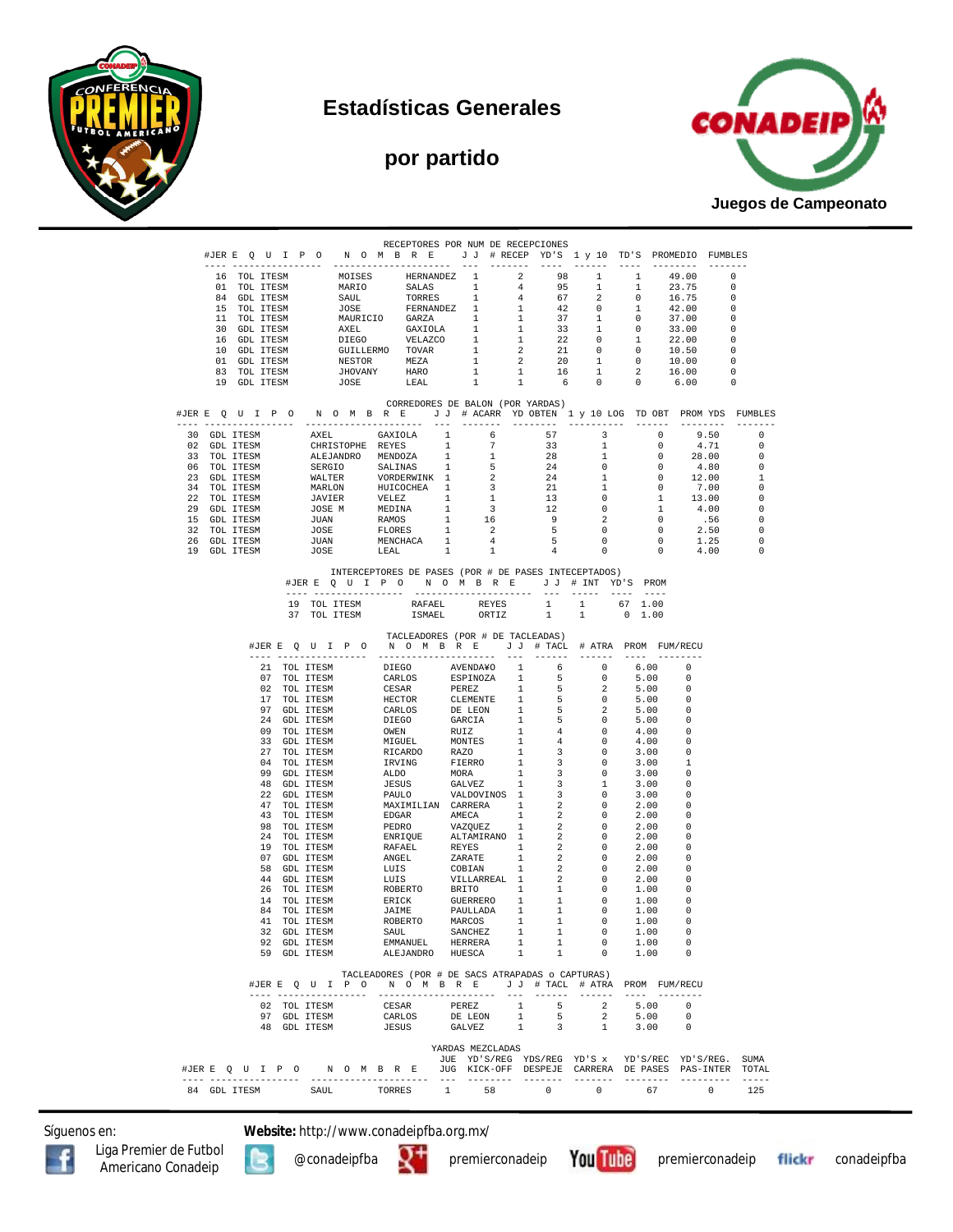







| #JERE QUIPO NOMBRE JJ #RECEPYD'S 1 y 10 TD'S PROMEDIO FUMBLES<br>$1 \quad 1$<br>49.00<br>$\sim$ 0<br>MOISES HERNANDEZ 1 2 98 1 1<br>MARIO SALAS 1 4 95 1 1<br>JOSE FERNANDEZ 1 4 67 2 0<br>JOSE FERNANDEZ 1 1 42 0 1<br>MAURICIO GARZA 1 1 37 1 0<br>AXEL GAXIOLA 1 1 33 1 0<br>DIEGO VELAZCO 1 1 22 0 1<br>CUILLERMO TOVAR 1 2 20 1 0<br>NESTOR ME<br>23.75<br>$\overline{\phantom{0}}$<br>$0 \t 16.75$<br>84 GDL ITESM<br>$\overline{\phantom{0}}$<br>15 TOL ITESM<br>42.00<br>$\overline{\phantom{0}}$<br>11 TOL ITESM<br>37.00<br>$\overline{\phantom{0}}$<br>$\begin{array}{ccc} 33.00 & & 0 \\ 22.00 & & 0 \\ 10.50 & & 0 \end{array}$<br>30 GDL ITESM<br>16 GDL ITESM<br>10 GDL ITESM<br>10.00<br>01 GDL ITESM<br>$\overline{\phantom{0}}$<br>$\begin{array}{ccc} 2 & \quad & 16.00 \\ 0 & \quad & 6.00 \end{array}$<br>$\overline{\phantom{0}}$<br>83 TOL ITESM<br>19 GDL ITESM<br>$\overline{\phantom{0}}$<br>CORREDORES DE BALON (POR YARDAS)<br>19 GDL ITESM AKEL GAXIOLA 1 (6 57 7 33 IN ITESM CHEATERD'S ANGLES 1 6 57 7 33 IN ITESM ALEJANDRO MENDOZA 1 1 28 1 28 IN ITESM SERGIO SALLINAS 1 5 24 0 1<br>23 GDL ITESM SERGIO SALUNAS 1 5 24 0<br>23 GDL ITESM SERGIO SALUNAS 1 5<br>9.50<br>$\overline{0}$<br>4.71<br>$\circ$<br>28.00<br>$\overline{0}$<br>$^{\circ}$<br>$\overline{0}$<br>4.80<br>$\overline{\phantom{0}}$<br>$\overline{0}$<br>12.00<br>$\mathbf{1}$<br>$\begin{array}{cccc} 0 & & 7.00 & & 0 \ 1 & & 13.00 & & 0 \ 1 & & 4.00 & & 0 \end{array}$<br>$\overline{0}$<br>.56<br>$\overline{0}$<br>$2.50$<br>1.25<br>4.00<br>$\overline{0}$<br>$\begin{matrix} 0 \\ 0 \\ 0 \end{matrix}$<br>0<br>$\overline{\phantom{0}}$<br>0<br>0<br>$\sim$ 0<br>INTERCEPTORES DE PASES (POR # DE PASES INTECEPTADOS)<br>#JERE QUIPO NOMBRE JJ # INT YD'S PROM<br>19 TOL ITESM RAFAEL REYES<br>$1 \t 1 \t 67 \t 1.00$<br>1<br>1<br>ORTIZ<br>$0 \quad 1.00$<br>37 TOL ITESM<br><b>ISMAEL</b><br>TACLEADORES (POR # DE TACLEADAS)<br>#JERE QUIPO NOMBRE JJ # TACL # ATRA PROMFUM/RECU<br>$\begin{tabular}{cccccccc} JER & D & D & N & 0 & M & B & E & J & H TACI & 4 A TRA I & HTRA & F RACI & 3 J & H TACI & 4 A TRA I & 4 J & 5 & 0 \\ -1 & TOL & TTESM & DEGO & AVENDINO & 1 & 6 & 0 \\ 02 & TOL & TTESM & CARSAR & FEREZ & 1 & 5 & 0 \\ 02 & TOL & TTESM & CERSAR & FEREZ & 1 & 5 & 0 \\ 03 & TOL & TTESM & HECTO & CLEMET & 1 & 5 & 0 \\ 97 & GDL & TTESM & DTEGO & GARCI & 1 & 5 & 0 \\ 97 &$<br>6.00 0<br>5.00<br>$\Omega$<br>5.00<br>0<br>5.00<br>- 0<br>5.00<br>- 0<br>5.00<br>- 0<br>4.00<br>$\Omega$<br>4.00<br>- 0<br>3.00<br>0<br>3.00<br>-1<br>3.00<br>$\Omega$<br>$\overline{\phantom{0}}$<br>3.00<br>3.00<br>- 0<br>2.00<br>0<br>2.00<br>$\Omega$<br>2.00<br>0<br>2.00<br>- 0<br>2.00<br>0<br>2.00<br>$\overline{\phantom{0}}$<br>2.00<br>- 0<br>2.00<br>$\overline{\phantom{0}}$<br>1.00<br>- 0<br>1.00<br>$\overline{\phantom{0}}$<br>1.00<br>$\overline{0}$<br>1.00<br>0<br>1.00<br>EMMANUEL HERRERA 1 1 0<br>92 GDL ITESM<br>1.00<br>0<br>59 GDL ITESM<br>1<br>1<br>$\sim$ 0<br>1.00<br>ALEJANDRO HUESCA<br>$\Omega$<br>TACLEADORES (POR # DE SACS ATRAPADAS o CAPTURAS)<br>#JERE Q U I P O N O M B R E J J # TACL # ATRA PROM FUM/RECU<br>1<br>CESAR<br>PEREZ<br>5 <sub>5</sub><br>$\overline{2}$<br>5.00 0<br>02 TOL ITESM<br>5.00<br>1<br>97 GDL ITESM<br>CARLOS<br>DE LEON<br>5 <sub>1</sub><br>$\overline{\mathbf{2}}$<br>$\overline{0}$<br>GALVEZ 1 3<br>1<br>48 GDL ITESM<br>3.00<br>$\overline{\phantom{0}}$<br>JESUS<br>YARDAS MEZCLADAS<br>JUE YD'S/REG YDS/REG YD'S x YD'S/REC YD'S/REG. SUMA<br>#JER E Q U I P O M O M B R E JUG KICK-OFF DESPEJE CARRERA DE PASES PAS-INTER TOTAL<br>$\frac{1}{2}$<br>---- ----------------<br>-----<br>.<br>1 58<br>$\sim$ 0<br>$\overline{0}$<br>67<br>$\overline{0}$<br>84 GDL ITESM<br>125<br>SAUL<br>TORRES |  |  |  | RECEPTORES POR NUM DE RECEPCIONES |  |  |  |  |  |  |
|-------------------------------------------------------------------------------------------------------------------------------------------------------------------------------------------------------------------------------------------------------------------------------------------------------------------------------------------------------------------------------------------------------------------------------------------------------------------------------------------------------------------------------------------------------------------------------------------------------------------------------------------------------------------------------------------------------------------------------------------------------------------------------------------------------------------------------------------------------------------------------------------------------------------------------------------------------------------------------------------------------------------------------------------------------------------------------------------------------------------------------------------------------------------------------------------------------------------------------------------------------------------------------------------------------------------------------------------------------------------------------------------------------------------------------------------------------------------------------------------------------------------------------------------------------------------------------------------------------------------------------------------------------------------------------------------------------------------------------------------------------------------------------------------------------------------------------------------------------------------------------------------------------------------------------------------------------------------------------------------------------------------------------------------------------------------------------------------------------------------------------------------------------------------------------------------------------------------------------------------------------------------------------------------------------------------------------------------------------------------------------------------------------------------------------------------------------------------------------------------------------------------------------------------------------------------------------------------------------------------------------------------------------------------------------------------------------------------------------------------------------------------------------------------------------------------------------------------------------------------------------------------------------------------------------------------------------------------------------------------------------------------------------------------------------------------------------------------------------------------------------------------------------------------------------------------------------------------------------------------------------------------------------------------------------------------------------------------------------------------------------------------------------------------------------------------------------------------------------------------------------------------------------------------------------------------------------------------------------------------------------------------------------------------------------------------------------------------------------------------------------------------------------------------------|--|--|--|-----------------------------------|--|--|--|--|--|--|
| #JERE QUIPO NOMBRE JJ # ACARR YDOBTEN 1 y 10 LOG TDOBT PROMYDS FUMBLES                                                                                                                                                                                                                                                                                                                                                                                                                                                                                                                                                                                                                                                                                                                                                                                                                                                                                                                                                                                                                                                                                                                                                                                                                                                                                                                                                                                                                                                                                                                                                                                                                                                                                                                                                                                                                                                                                                                                                                                                                                                                                                                                                                                                                                                                                                                                                                                                                                                                                                                                                                                                                                                                                                                                                                                                                                                                                                                                                                                                                                                                                                                                                                                                                                                                                                                                                                                                                                                                                                                                                                                                                                                                                                                          |  |  |  |                                   |  |  |  |  |  |  |
|                                                                                                                                                                                                                                                                                                                                                                                                                                                                                                                                                                                                                                                                                                                                                                                                                                                                                                                                                                                                                                                                                                                                                                                                                                                                                                                                                                                                                                                                                                                                                                                                                                                                                                                                                                                                                                                                                                                                                                                                                                                                                                                                                                                                                                                                                                                                                                                                                                                                                                                                                                                                                                                                                                                                                                                                                                                                                                                                                                                                                                                                                                                                                                                                                                                                                                                                                                                                                                                                                                                                                                                                                                                                                                                                                                                                 |  |  |  |                                   |  |  |  |  |  |  |
|                                                                                                                                                                                                                                                                                                                                                                                                                                                                                                                                                                                                                                                                                                                                                                                                                                                                                                                                                                                                                                                                                                                                                                                                                                                                                                                                                                                                                                                                                                                                                                                                                                                                                                                                                                                                                                                                                                                                                                                                                                                                                                                                                                                                                                                                                                                                                                                                                                                                                                                                                                                                                                                                                                                                                                                                                                                                                                                                                                                                                                                                                                                                                                                                                                                                                                                                                                                                                                                                                                                                                                                                                                                                                                                                                                                                 |  |  |  |                                   |  |  |  |  |  |  |
|                                                                                                                                                                                                                                                                                                                                                                                                                                                                                                                                                                                                                                                                                                                                                                                                                                                                                                                                                                                                                                                                                                                                                                                                                                                                                                                                                                                                                                                                                                                                                                                                                                                                                                                                                                                                                                                                                                                                                                                                                                                                                                                                                                                                                                                                                                                                                                                                                                                                                                                                                                                                                                                                                                                                                                                                                                                                                                                                                                                                                                                                                                                                                                                                                                                                                                                                                                                                                                                                                                                                                                                                                                                                                                                                                                                                 |  |  |  |                                   |  |  |  |  |  |  |
|                                                                                                                                                                                                                                                                                                                                                                                                                                                                                                                                                                                                                                                                                                                                                                                                                                                                                                                                                                                                                                                                                                                                                                                                                                                                                                                                                                                                                                                                                                                                                                                                                                                                                                                                                                                                                                                                                                                                                                                                                                                                                                                                                                                                                                                                                                                                                                                                                                                                                                                                                                                                                                                                                                                                                                                                                                                                                                                                                                                                                                                                                                                                                                                                                                                                                                                                                                                                                                                                                                                                                                                                                                                                                                                                                                                                 |  |  |  |                                   |  |  |  |  |  |  |
|                                                                                                                                                                                                                                                                                                                                                                                                                                                                                                                                                                                                                                                                                                                                                                                                                                                                                                                                                                                                                                                                                                                                                                                                                                                                                                                                                                                                                                                                                                                                                                                                                                                                                                                                                                                                                                                                                                                                                                                                                                                                                                                                                                                                                                                                                                                                                                                                                                                                                                                                                                                                                                                                                                                                                                                                                                                                                                                                                                                                                                                                                                                                                                                                                                                                                                                                                                                                                                                                                                                                                                                                                                                                                                                                                                                                 |  |  |  |                                   |  |  |  |  |  |  |
|                                                                                                                                                                                                                                                                                                                                                                                                                                                                                                                                                                                                                                                                                                                                                                                                                                                                                                                                                                                                                                                                                                                                                                                                                                                                                                                                                                                                                                                                                                                                                                                                                                                                                                                                                                                                                                                                                                                                                                                                                                                                                                                                                                                                                                                                                                                                                                                                                                                                                                                                                                                                                                                                                                                                                                                                                                                                                                                                                                                                                                                                                                                                                                                                                                                                                                                                                                                                                                                                                                                                                                                                                                                                                                                                                                                                 |  |  |  |                                   |  |  |  |  |  |  |
|                                                                                                                                                                                                                                                                                                                                                                                                                                                                                                                                                                                                                                                                                                                                                                                                                                                                                                                                                                                                                                                                                                                                                                                                                                                                                                                                                                                                                                                                                                                                                                                                                                                                                                                                                                                                                                                                                                                                                                                                                                                                                                                                                                                                                                                                                                                                                                                                                                                                                                                                                                                                                                                                                                                                                                                                                                                                                                                                                                                                                                                                                                                                                                                                                                                                                                                                                                                                                                                                                                                                                                                                                                                                                                                                                                                                 |  |  |  |                                   |  |  |  |  |  |  |
|                                                                                                                                                                                                                                                                                                                                                                                                                                                                                                                                                                                                                                                                                                                                                                                                                                                                                                                                                                                                                                                                                                                                                                                                                                                                                                                                                                                                                                                                                                                                                                                                                                                                                                                                                                                                                                                                                                                                                                                                                                                                                                                                                                                                                                                                                                                                                                                                                                                                                                                                                                                                                                                                                                                                                                                                                                                                                                                                                                                                                                                                                                                                                                                                                                                                                                                                                                                                                                                                                                                                                                                                                                                                                                                                                                                                 |  |  |  |                                   |  |  |  |  |  |  |
|                                                                                                                                                                                                                                                                                                                                                                                                                                                                                                                                                                                                                                                                                                                                                                                                                                                                                                                                                                                                                                                                                                                                                                                                                                                                                                                                                                                                                                                                                                                                                                                                                                                                                                                                                                                                                                                                                                                                                                                                                                                                                                                                                                                                                                                                                                                                                                                                                                                                                                                                                                                                                                                                                                                                                                                                                                                                                                                                                                                                                                                                                                                                                                                                                                                                                                                                                                                                                                                                                                                                                                                                                                                                                                                                                                                                 |  |  |  |                                   |  |  |  |  |  |  |
|                                                                                                                                                                                                                                                                                                                                                                                                                                                                                                                                                                                                                                                                                                                                                                                                                                                                                                                                                                                                                                                                                                                                                                                                                                                                                                                                                                                                                                                                                                                                                                                                                                                                                                                                                                                                                                                                                                                                                                                                                                                                                                                                                                                                                                                                                                                                                                                                                                                                                                                                                                                                                                                                                                                                                                                                                                                                                                                                                                                                                                                                                                                                                                                                                                                                                                                                                                                                                                                                                                                                                                                                                                                                                                                                                                                                 |  |  |  |                                   |  |  |  |  |  |  |
|                                                                                                                                                                                                                                                                                                                                                                                                                                                                                                                                                                                                                                                                                                                                                                                                                                                                                                                                                                                                                                                                                                                                                                                                                                                                                                                                                                                                                                                                                                                                                                                                                                                                                                                                                                                                                                                                                                                                                                                                                                                                                                                                                                                                                                                                                                                                                                                                                                                                                                                                                                                                                                                                                                                                                                                                                                                                                                                                                                                                                                                                                                                                                                                                                                                                                                                                                                                                                                                                                                                                                                                                                                                                                                                                                                                                 |  |  |  |                                   |  |  |  |  |  |  |
|                                                                                                                                                                                                                                                                                                                                                                                                                                                                                                                                                                                                                                                                                                                                                                                                                                                                                                                                                                                                                                                                                                                                                                                                                                                                                                                                                                                                                                                                                                                                                                                                                                                                                                                                                                                                                                                                                                                                                                                                                                                                                                                                                                                                                                                                                                                                                                                                                                                                                                                                                                                                                                                                                                                                                                                                                                                                                                                                                                                                                                                                                                                                                                                                                                                                                                                                                                                                                                                                                                                                                                                                                                                                                                                                                                                                 |  |  |  |                                   |  |  |  |  |  |  |
|                                                                                                                                                                                                                                                                                                                                                                                                                                                                                                                                                                                                                                                                                                                                                                                                                                                                                                                                                                                                                                                                                                                                                                                                                                                                                                                                                                                                                                                                                                                                                                                                                                                                                                                                                                                                                                                                                                                                                                                                                                                                                                                                                                                                                                                                                                                                                                                                                                                                                                                                                                                                                                                                                                                                                                                                                                                                                                                                                                                                                                                                                                                                                                                                                                                                                                                                                                                                                                                                                                                                                                                                                                                                                                                                                                                                 |  |  |  |                                   |  |  |  |  |  |  |
|                                                                                                                                                                                                                                                                                                                                                                                                                                                                                                                                                                                                                                                                                                                                                                                                                                                                                                                                                                                                                                                                                                                                                                                                                                                                                                                                                                                                                                                                                                                                                                                                                                                                                                                                                                                                                                                                                                                                                                                                                                                                                                                                                                                                                                                                                                                                                                                                                                                                                                                                                                                                                                                                                                                                                                                                                                                                                                                                                                                                                                                                                                                                                                                                                                                                                                                                                                                                                                                                                                                                                                                                                                                                                                                                                                                                 |  |  |  |                                   |  |  |  |  |  |  |
|                                                                                                                                                                                                                                                                                                                                                                                                                                                                                                                                                                                                                                                                                                                                                                                                                                                                                                                                                                                                                                                                                                                                                                                                                                                                                                                                                                                                                                                                                                                                                                                                                                                                                                                                                                                                                                                                                                                                                                                                                                                                                                                                                                                                                                                                                                                                                                                                                                                                                                                                                                                                                                                                                                                                                                                                                                                                                                                                                                                                                                                                                                                                                                                                                                                                                                                                                                                                                                                                                                                                                                                                                                                                                                                                                                                                 |  |  |  |                                   |  |  |  |  |  |  |
|                                                                                                                                                                                                                                                                                                                                                                                                                                                                                                                                                                                                                                                                                                                                                                                                                                                                                                                                                                                                                                                                                                                                                                                                                                                                                                                                                                                                                                                                                                                                                                                                                                                                                                                                                                                                                                                                                                                                                                                                                                                                                                                                                                                                                                                                                                                                                                                                                                                                                                                                                                                                                                                                                                                                                                                                                                                                                                                                                                                                                                                                                                                                                                                                                                                                                                                                                                                                                                                                                                                                                                                                                                                                                                                                                                                                 |  |  |  |                                   |  |  |  |  |  |  |
|                                                                                                                                                                                                                                                                                                                                                                                                                                                                                                                                                                                                                                                                                                                                                                                                                                                                                                                                                                                                                                                                                                                                                                                                                                                                                                                                                                                                                                                                                                                                                                                                                                                                                                                                                                                                                                                                                                                                                                                                                                                                                                                                                                                                                                                                                                                                                                                                                                                                                                                                                                                                                                                                                                                                                                                                                                                                                                                                                                                                                                                                                                                                                                                                                                                                                                                                                                                                                                                                                                                                                                                                                                                                                                                                                                                                 |  |  |  |                                   |  |  |  |  |  |  |
|                                                                                                                                                                                                                                                                                                                                                                                                                                                                                                                                                                                                                                                                                                                                                                                                                                                                                                                                                                                                                                                                                                                                                                                                                                                                                                                                                                                                                                                                                                                                                                                                                                                                                                                                                                                                                                                                                                                                                                                                                                                                                                                                                                                                                                                                                                                                                                                                                                                                                                                                                                                                                                                                                                                                                                                                                                                                                                                                                                                                                                                                                                                                                                                                                                                                                                                                                                                                                                                                                                                                                                                                                                                                                                                                                                                                 |  |  |  |                                   |  |  |  |  |  |  |
|                                                                                                                                                                                                                                                                                                                                                                                                                                                                                                                                                                                                                                                                                                                                                                                                                                                                                                                                                                                                                                                                                                                                                                                                                                                                                                                                                                                                                                                                                                                                                                                                                                                                                                                                                                                                                                                                                                                                                                                                                                                                                                                                                                                                                                                                                                                                                                                                                                                                                                                                                                                                                                                                                                                                                                                                                                                                                                                                                                                                                                                                                                                                                                                                                                                                                                                                                                                                                                                                                                                                                                                                                                                                                                                                                                                                 |  |  |  |                                   |  |  |  |  |  |  |
|                                                                                                                                                                                                                                                                                                                                                                                                                                                                                                                                                                                                                                                                                                                                                                                                                                                                                                                                                                                                                                                                                                                                                                                                                                                                                                                                                                                                                                                                                                                                                                                                                                                                                                                                                                                                                                                                                                                                                                                                                                                                                                                                                                                                                                                                                                                                                                                                                                                                                                                                                                                                                                                                                                                                                                                                                                                                                                                                                                                                                                                                                                                                                                                                                                                                                                                                                                                                                                                                                                                                                                                                                                                                                                                                                                                                 |  |  |  |                                   |  |  |  |  |  |  |
|                                                                                                                                                                                                                                                                                                                                                                                                                                                                                                                                                                                                                                                                                                                                                                                                                                                                                                                                                                                                                                                                                                                                                                                                                                                                                                                                                                                                                                                                                                                                                                                                                                                                                                                                                                                                                                                                                                                                                                                                                                                                                                                                                                                                                                                                                                                                                                                                                                                                                                                                                                                                                                                                                                                                                                                                                                                                                                                                                                                                                                                                                                                                                                                                                                                                                                                                                                                                                                                                                                                                                                                                                                                                                                                                                                                                 |  |  |  |                                   |  |  |  |  |  |  |
|                                                                                                                                                                                                                                                                                                                                                                                                                                                                                                                                                                                                                                                                                                                                                                                                                                                                                                                                                                                                                                                                                                                                                                                                                                                                                                                                                                                                                                                                                                                                                                                                                                                                                                                                                                                                                                                                                                                                                                                                                                                                                                                                                                                                                                                                                                                                                                                                                                                                                                                                                                                                                                                                                                                                                                                                                                                                                                                                                                                                                                                                                                                                                                                                                                                                                                                                                                                                                                                                                                                                                                                                                                                                                                                                                                                                 |  |  |  |                                   |  |  |  |  |  |  |
|                                                                                                                                                                                                                                                                                                                                                                                                                                                                                                                                                                                                                                                                                                                                                                                                                                                                                                                                                                                                                                                                                                                                                                                                                                                                                                                                                                                                                                                                                                                                                                                                                                                                                                                                                                                                                                                                                                                                                                                                                                                                                                                                                                                                                                                                                                                                                                                                                                                                                                                                                                                                                                                                                                                                                                                                                                                                                                                                                                                                                                                                                                                                                                                                                                                                                                                                                                                                                                                                                                                                                                                                                                                                                                                                                                                                 |  |  |  |                                   |  |  |  |  |  |  |
|                                                                                                                                                                                                                                                                                                                                                                                                                                                                                                                                                                                                                                                                                                                                                                                                                                                                                                                                                                                                                                                                                                                                                                                                                                                                                                                                                                                                                                                                                                                                                                                                                                                                                                                                                                                                                                                                                                                                                                                                                                                                                                                                                                                                                                                                                                                                                                                                                                                                                                                                                                                                                                                                                                                                                                                                                                                                                                                                                                                                                                                                                                                                                                                                                                                                                                                                                                                                                                                                                                                                                                                                                                                                                                                                                                                                 |  |  |  |                                   |  |  |  |  |  |  |
|                                                                                                                                                                                                                                                                                                                                                                                                                                                                                                                                                                                                                                                                                                                                                                                                                                                                                                                                                                                                                                                                                                                                                                                                                                                                                                                                                                                                                                                                                                                                                                                                                                                                                                                                                                                                                                                                                                                                                                                                                                                                                                                                                                                                                                                                                                                                                                                                                                                                                                                                                                                                                                                                                                                                                                                                                                                                                                                                                                                                                                                                                                                                                                                                                                                                                                                                                                                                                                                                                                                                                                                                                                                                                                                                                                                                 |  |  |  |                                   |  |  |  |  |  |  |
|                                                                                                                                                                                                                                                                                                                                                                                                                                                                                                                                                                                                                                                                                                                                                                                                                                                                                                                                                                                                                                                                                                                                                                                                                                                                                                                                                                                                                                                                                                                                                                                                                                                                                                                                                                                                                                                                                                                                                                                                                                                                                                                                                                                                                                                                                                                                                                                                                                                                                                                                                                                                                                                                                                                                                                                                                                                                                                                                                                                                                                                                                                                                                                                                                                                                                                                                                                                                                                                                                                                                                                                                                                                                                                                                                                                                 |  |  |  |                                   |  |  |  |  |  |  |
|                                                                                                                                                                                                                                                                                                                                                                                                                                                                                                                                                                                                                                                                                                                                                                                                                                                                                                                                                                                                                                                                                                                                                                                                                                                                                                                                                                                                                                                                                                                                                                                                                                                                                                                                                                                                                                                                                                                                                                                                                                                                                                                                                                                                                                                                                                                                                                                                                                                                                                                                                                                                                                                                                                                                                                                                                                                                                                                                                                                                                                                                                                                                                                                                                                                                                                                                                                                                                                                                                                                                                                                                                                                                                                                                                                                                 |  |  |  |                                   |  |  |  |  |  |  |
|                                                                                                                                                                                                                                                                                                                                                                                                                                                                                                                                                                                                                                                                                                                                                                                                                                                                                                                                                                                                                                                                                                                                                                                                                                                                                                                                                                                                                                                                                                                                                                                                                                                                                                                                                                                                                                                                                                                                                                                                                                                                                                                                                                                                                                                                                                                                                                                                                                                                                                                                                                                                                                                                                                                                                                                                                                                                                                                                                                                                                                                                                                                                                                                                                                                                                                                                                                                                                                                                                                                                                                                                                                                                                                                                                                                                 |  |  |  |                                   |  |  |  |  |  |  |
|                                                                                                                                                                                                                                                                                                                                                                                                                                                                                                                                                                                                                                                                                                                                                                                                                                                                                                                                                                                                                                                                                                                                                                                                                                                                                                                                                                                                                                                                                                                                                                                                                                                                                                                                                                                                                                                                                                                                                                                                                                                                                                                                                                                                                                                                                                                                                                                                                                                                                                                                                                                                                                                                                                                                                                                                                                                                                                                                                                                                                                                                                                                                                                                                                                                                                                                                                                                                                                                                                                                                                                                                                                                                                                                                                                                                 |  |  |  |                                   |  |  |  |  |  |  |
|                                                                                                                                                                                                                                                                                                                                                                                                                                                                                                                                                                                                                                                                                                                                                                                                                                                                                                                                                                                                                                                                                                                                                                                                                                                                                                                                                                                                                                                                                                                                                                                                                                                                                                                                                                                                                                                                                                                                                                                                                                                                                                                                                                                                                                                                                                                                                                                                                                                                                                                                                                                                                                                                                                                                                                                                                                                                                                                                                                                                                                                                                                                                                                                                                                                                                                                                                                                                                                                                                                                                                                                                                                                                                                                                                                                                 |  |  |  |                                   |  |  |  |  |  |  |
|                                                                                                                                                                                                                                                                                                                                                                                                                                                                                                                                                                                                                                                                                                                                                                                                                                                                                                                                                                                                                                                                                                                                                                                                                                                                                                                                                                                                                                                                                                                                                                                                                                                                                                                                                                                                                                                                                                                                                                                                                                                                                                                                                                                                                                                                                                                                                                                                                                                                                                                                                                                                                                                                                                                                                                                                                                                                                                                                                                                                                                                                                                                                                                                                                                                                                                                                                                                                                                                                                                                                                                                                                                                                                                                                                                                                 |  |  |  |                                   |  |  |  |  |  |  |
|                                                                                                                                                                                                                                                                                                                                                                                                                                                                                                                                                                                                                                                                                                                                                                                                                                                                                                                                                                                                                                                                                                                                                                                                                                                                                                                                                                                                                                                                                                                                                                                                                                                                                                                                                                                                                                                                                                                                                                                                                                                                                                                                                                                                                                                                                                                                                                                                                                                                                                                                                                                                                                                                                                                                                                                                                                                                                                                                                                                                                                                                                                                                                                                                                                                                                                                                                                                                                                                                                                                                                                                                                                                                                                                                                                                                 |  |  |  |                                   |  |  |  |  |  |  |
|                                                                                                                                                                                                                                                                                                                                                                                                                                                                                                                                                                                                                                                                                                                                                                                                                                                                                                                                                                                                                                                                                                                                                                                                                                                                                                                                                                                                                                                                                                                                                                                                                                                                                                                                                                                                                                                                                                                                                                                                                                                                                                                                                                                                                                                                                                                                                                                                                                                                                                                                                                                                                                                                                                                                                                                                                                                                                                                                                                                                                                                                                                                                                                                                                                                                                                                                                                                                                                                                                                                                                                                                                                                                                                                                                                                                 |  |  |  |                                   |  |  |  |  |  |  |
|                                                                                                                                                                                                                                                                                                                                                                                                                                                                                                                                                                                                                                                                                                                                                                                                                                                                                                                                                                                                                                                                                                                                                                                                                                                                                                                                                                                                                                                                                                                                                                                                                                                                                                                                                                                                                                                                                                                                                                                                                                                                                                                                                                                                                                                                                                                                                                                                                                                                                                                                                                                                                                                                                                                                                                                                                                                                                                                                                                                                                                                                                                                                                                                                                                                                                                                                                                                                                                                                                                                                                                                                                                                                                                                                                                                                 |  |  |  |                                   |  |  |  |  |  |  |
|                                                                                                                                                                                                                                                                                                                                                                                                                                                                                                                                                                                                                                                                                                                                                                                                                                                                                                                                                                                                                                                                                                                                                                                                                                                                                                                                                                                                                                                                                                                                                                                                                                                                                                                                                                                                                                                                                                                                                                                                                                                                                                                                                                                                                                                                                                                                                                                                                                                                                                                                                                                                                                                                                                                                                                                                                                                                                                                                                                                                                                                                                                                                                                                                                                                                                                                                                                                                                                                                                                                                                                                                                                                                                                                                                                                                 |  |  |  |                                   |  |  |  |  |  |  |
|                                                                                                                                                                                                                                                                                                                                                                                                                                                                                                                                                                                                                                                                                                                                                                                                                                                                                                                                                                                                                                                                                                                                                                                                                                                                                                                                                                                                                                                                                                                                                                                                                                                                                                                                                                                                                                                                                                                                                                                                                                                                                                                                                                                                                                                                                                                                                                                                                                                                                                                                                                                                                                                                                                                                                                                                                                                                                                                                                                                                                                                                                                                                                                                                                                                                                                                                                                                                                                                                                                                                                                                                                                                                                                                                                                                                 |  |  |  |                                   |  |  |  |  |  |  |
|                                                                                                                                                                                                                                                                                                                                                                                                                                                                                                                                                                                                                                                                                                                                                                                                                                                                                                                                                                                                                                                                                                                                                                                                                                                                                                                                                                                                                                                                                                                                                                                                                                                                                                                                                                                                                                                                                                                                                                                                                                                                                                                                                                                                                                                                                                                                                                                                                                                                                                                                                                                                                                                                                                                                                                                                                                                                                                                                                                                                                                                                                                                                                                                                                                                                                                                                                                                                                                                                                                                                                                                                                                                                                                                                                                                                 |  |  |  |                                   |  |  |  |  |  |  |
|                                                                                                                                                                                                                                                                                                                                                                                                                                                                                                                                                                                                                                                                                                                                                                                                                                                                                                                                                                                                                                                                                                                                                                                                                                                                                                                                                                                                                                                                                                                                                                                                                                                                                                                                                                                                                                                                                                                                                                                                                                                                                                                                                                                                                                                                                                                                                                                                                                                                                                                                                                                                                                                                                                                                                                                                                                                                                                                                                                                                                                                                                                                                                                                                                                                                                                                                                                                                                                                                                                                                                                                                                                                                                                                                                                                                 |  |  |  |                                   |  |  |  |  |  |  |
|                                                                                                                                                                                                                                                                                                                                                                                                                                                                                                                                                                                                                                                                                                                                                                                                                                                                                                                                                                                                                                                                                                                                                                                                                                                                                                                                                                                                                                                                                                                                                                                                                                                                                                                                                                                                                                                                                                                                                                                                                                                                                                                                                                                                                                                                                                                                                                                                                                                                                                                                                                                                                                                                                                                                                                                                                                                                                                                                                                                                                                                                                                                                                                                                                                                                                                                                                                                                                                                                                                                                                                                                                                                                                                                                                                                                 |  |  |  |                                   |  |  |  |  |  |  |
|                                                                                                                                                                                                                                                                                                                                                                                                                                                                                                                                                                                                                                                                                                                                                                                                                                                                                                                                                                                                                                                                                                                                                                                                                                                                                                                                                                                                                                                                                                                                                                                                                                                                                                                                                                                                                                                                                                                                                                                                                                                                                                                                                                                                                                                                                                                                                                                                                                                                                                                                                                                                                                                                                                                                                                                                                                                                                                                                                                                                                                                                                                                                                                                                                                                                                                                                                                                                                                                                                                                                                                                                                                                                                                                                                                                                 |  |  |  |                                   |  |  |  |  |  |  |
|                                                                                                                                                                                                                                                                                                                                                                                                                                                                                                                                                                                                                                                                                                                                                                                                                                                                                                                                                                                                                                                                                                                                                                                                                                                                                                                                                                                                                                                                                                                                                                                                                                                                                                                                                                                                                                                                                                                                                                                                                                                                                                                                                                                                                                                                                                                                                                                                                                                                                                                                                                                                                                                                                                                                                                                                                                                                                                                                                                                                                                                                                                                                                                                                                                                                                                                                                                                                                                                                                                                                                                                                                                                                                                                                                                                                 |  |  |  |                                   |  |  |  |  |  |  |
|                                                                                                                                                                                                                                                                                                                                                                                                                                                                                                                                                                                                                                                                                                                                                                                                                                                                                                                                                                                                                                                                                                                                                                                                                                                                                                                                                                                                                                                                                                                                                                                                                                                                                                                                                                                                                                                                                                                                                                                                                                                                                                                                                                                                                                                                                                                                                                                                                                                                                                                                                                                                                                                                                                                                                                                                                                                                                                                                                                                                                                                                                                                                                                                                                                                                                                                                                                                                                                                                                                                                                                                                                                                                                                                                                                                                 |  |  |  |                                   |  |  |  |  |  |  |
|                                                                                                                                                                                                                                                                                                                                                                                                                                                                                                                                                                                                                                                                                                                                                                                                                                                                                                                                                                                                                                                                                                                                                                                                                                                                                                                                                                                                                                                                                                                                                                                                                                                                                                                                                                                                                                                                                                                                                                                                                                                                                                                                                                                                                                                                                                                                                                                                                                                                                                                                                                                                                                                                                                                                                                                                                                                                                                                                                                                                                                                                                                                                                                                                                                                                                                                                                                                                                                                                                                                                                                                                                                                                                                                                                                                                 |  |  |  |                                   |  |  |  |  |  |  |
|                                                                                                                                                                                                                                                                                                                                                                                                                                                                                                                                                                                                                                                                                                                                                                                                                                                                                                                                                                                                                                                                                                                                                                                                                                                                                                                                                                                                                                                                                                                                                                                                                                                                                                                                                                                                                                                                                                                                                                                                                                                                                                                                                                                                                                                                                                                                                                                                                                                                                                                                                                                                                                                                                                                                                                                                                                                                                                                                                                                                                                                                                                                                                                                                                                                                                                                                                                                                                                                                                                                                                                                                                                                                                                                                                                                                 |  |  |  |                                   |  |  |  |  |  |  |
|                                                                                                                                                                                                                                                                                                                                                                                                                                                                                                                                                                                                                                                                                                                                                                                                                                                                                                                                                                                                                                                                                                                                                                                                                                                                                                                                                                                                                                                                                                                                                                                                                                                                                                                                                                                                                                                                                                                                                                                                                                                                                                                                                                                                                                                                                                                                                                                                                                                                                                                                                                                                                                                                                                                                                                                                                                                                                                                                                                                                                                                                                                                                                                                                                                                                                                                                                                                                                                                                                                                                                                                                                                                                                                                                                                                                 |  |  |  |                                   |  |  |  |  |  |  |
|                                                                                                                                                                                                                                                                                                                                                                                                                                                                                                                                                                                                                                                                                                                                                                                                                                                                                                                                                                                                                                                                                                                                                                                                                                                                                                                                                                                                                                                                                                                                                                                                                                                                                                                                                                                                                                                                                                                                                                                                                                                                                                                                                                                                                                                                                                                                                                                                                                                                                                                                                                                                                                                                                                                                                                                                                                                                                                                                                                                                                                                                                                                                                                                                                                                                                                                                                                                                                                                                                                                                                                                                                                                                                                                                                                                                 |  |  |  |                                   |  |  |  |  |  |  |
|                                                                                                                                                                                                                                                                                                                                                                                                                                                                                                                                                                                                                                                                                                                                                                                                                                                                                                                                                                                                                                                                                                                                                                                                                                                                                                                                                                                                                                                                                                                                                                                                                                                                                                                                                                                                                                                                                                                                                                                                                                                                                                                                                                                                                                                                                                                                                                                                                                                                                                                                                                                                                                                                                                                                                                                                                                                                                                                                                                                                                                                                                                                                                                                                                                                                                                                                                                                                                                                                                                                                                                                                                                                                                                                                                                                                 |  |  |  |                                   |  |  |  |  |  |  |
|                                                                                                                                                                                                                                                                                                                                                                                                                                                                                                                                                                                                                                                                                                                                                                                                                                                                                                                                                                                                                                                                                                                                                                                                                                                                                                                                                                                                                                                                                                                                                                                                                                                                                                                                                                                                                                                                                                                                                                                                                                                                                                                                                                                                                                                                                                                                                                                                                                                                                                                                                                                                                                                                                                                                                                                                                                                                                                                                                                                                                                                                                                                                                                                                                                                                                                                                                                                                                                                                                                                                                                                                                                                                                                                                                                                                 |  |  |  |                                   |  |  |  |  |  |  |
|                                                                                                                                                                                                                                                                                                                                                                                                                                                                                                                                                                                                                                                                                                                                                                                                                                                                                                                                                                                                                                                                                                                                                                                                                                                                                                                                                                                                                                                                                                                                                                                                                                                                                                                                                                                                                                                                                                                                                                                                                                                                                                                                                                                                                                                                                                                                                                                                                                                                                                                                                                                                                                                                                                                                                                                                                                                                                                                                                                                                                                                                                                                                                                                                                                                                                                                                                                                                                                                                                                                                                                                                                                                                                                                                                                                                 |  |  |  |                                   |  |  |  |  |  |  |
|                                                                                                                                                                                                                                                                                                                                                                                                                                                                                                                                                                                                                                                                                                                                                                                                                                                                                                                                                                                                                                                                                                                                                                                                                                                                                                                                                                                                                                                                                                                                                                                                                                                                                                                                                                                                                                                                                                                                                                                                                                                                                                                                                                                                                                                                                                                                                                                                                                                                                                                                                                                                                                                                                                                                                                                                                                                                                                                                                                                                                                                                                                                                                                                                                                                                                                                                                                                                                                                                                                                                                                                                                                                                                                                                                                                                 |  |  |  |                                   |  |  |  |  |  |  |
|                                                                                                                                                                                                                                                                                                                                                                                                                                                                                                                                                                                                                                                                                                                                                                                                                                                                                                                                                                                                                                                                                                                                                                                                                                                                                                                                                                                                                                                                                                                                                                                                                                                                                                                                                                                                                                                                                                                                                                                                                                                                                                                                                                                                                                                                                                                                                                                                                                                                                                                                                                                                                                                                                                                                                                                                                                                                                                                                                                                                                                                                                                                                                                                                                                                                                                                                                                                                                                                                                                                                                                                                                                                                                                                                                                                                 |  |  |  |                                   |  |  |  |  |  |  |
|                                                                                                                                                                                                                                                                                                                                                                                                                                                                                                                                                                                                                                                                                                                                                                                                                                                                                                                                                                                                                                                                                                                                                                                                                                                                                                                                                                                                                                                                                                                                                                                                                                                                                                                                                                                                                                                                                                                                                                                                                                                                                                                                                                                                                                                                                                                                                                                                                                                                                                                                                                                                                                                                                                                                                                                                                                                                                                                                                                                                                                                                                                                                                                                                                                                                                                                                                                                                                                                                                                                                                                                                                                                                                                                                                                                                 |  |  |  |                                   |  |  |  |  |  |  |
|                                                                                                                                                                                                                                                                                                                                                                                                                                                                                                                                                                                                                                                                                                                                                                                                                                                                                                                                                                                                                                                                                                                                                                                                                                                                                                                                                                                                                                                                                                                                                                                                                                                                                                                                                                                                                                                                                                                                                                                                                                                                                                                                                                                                                                                                                                                                                                                                                                                                                                                                                                                                                                                                                                                                                                                                                                                                                                                                                                                                                                                                                                                                                                                                                                                                                                                                                                                                                                                                                                                                                                                                                                                                                                                                                                                                 |  |  |  |                                   |  |  |  |  |  |  |
|                                                                                                                                                                                                                                                                                                                                                                                                                                                                                                                                                                                                                                                                                                                                                                                                                                                                                                                                                                                                                                                                                                                                                                                                                                                                                                                                                                                                                                                                                                                                                                                                                                                                                                                                                                                                                                                                                                                                                                                                                                                                                                                                                                                                                                                                                                                                                                                                                                                                                                                                                                                                                                                                                                                                                                                                                                                                                                                                                                                                                                                                                                                                                                                                                                                                                                                                                                                                                                                                                                                                                                                                                                                                                                                                                                                                 |  |  |  |                                   |  |  |  |  |  |  |
|                                                                                                                                                                                                                                                                                                                                                                                                                                                                                                                                                                                                                                                                                                                                                                                                                                                                                                                                                                                                                                                                                                                                                                                                                                                                                                                                                                                                                                                                                                                                                                                                                                                                                                                                                                                                                                                                                                                                                                                                                                                                                                                                                                                                                                                                                                                                                                                                                                                                                                                                                                                                                                                                                                                                                                                                                                                                                                                                                                                                                                                                                                                                                                                                                                                                                                                                                                                                                                                                                                                                                                                                                                                                                                                                                                                                 |  |  |  |                                   |  |  |  |  |  |  |
|                                                                                                                                                                                                                                                                                                                                                                                                                                                                                                                                                                                                                                                                                                                                                                                                                                                                                                                                                                                                                                                                                                                                                                                                                                                                                                                                                                                                                                                                                                                                                                                                                                                                                                                                                                                                                                                                                                                                                                                                                                                                                                                                                                                                                                                                                                                                                                                                                                                                                                                                                                                                                                                                                                                                                                                                                                                                                                                                                                                                                                                                                                                                                                                                                                                                                                                                                                                                                                                                                                                                                                                                                                                                                                                                                                                                 |  |  |  |                                   |  |  |  |  |  |  |
|                                                                                                                                                                                                                                                                                                                                                                                                                                                                                                                                                                                                                                                                                                                                                                                                                                                                                                                                                                                                                                                                                                                                                                                                                                                                                                                                                                                                                                                                                                                                                                                                                                                                                                                                                                                                                                                                                                                                                                                                                                                                                                                                                                                                                                                                                                                                                                                                                                                                                                                                                                                                                                                                                                                                                                                                                                                                                                                                                                                                                                                                                                                                                                                                                                                                                                                                                                                                                                                                                                                                                                                                                                                                                                                                                                                                 |  |  |  |                                   |  |  |  |  |  |  |
|                                                                                                                                                                                                                                                                                                                                                                                                                                                                                                                                                                                                                                                                                                                                                                                                                                                                                                                                                                                                                                                                                                                                                                                                                                                                                                                                                                                                                                                                                                                                                                                                                                                                                                                                                                                                                                                                                                                                                                                                                                                                                                                                                                                                                                                                                                                                                                                                                                                                                                                                                                                                                                                                                                                                                                                                                                                                                                                                                                                                                                                                                                                                                                                                                                                                                                                                                                                                                                                                                                                                                                                                                                                                                                                                                                                                 |  |  |  |                                   |  |  |  |  |  |  |
|                                                                                                                                                                                                                                                                                                                                                                                                                                                                                                                                                                                                                                                                                                                                                                                                                                                                                                                                                                                                                                                                                                                                                                                                                                                                                                                                                                                                                                                                                                                                                                                                                                                                                                                                                                                                                                                                                                                                                                                                                                                                                                                                                                                                                                                                                                                                                                                                                                                                                                                                                                                                                                                                                                                                                                                                                                                                                                                                                                                                                                                                                                                                                                                                                                                                                                                                                                                                                                                                                                                                                                                                                                                                                                                                                                                                 |  |  |  |                                   |  |  |  |  |  |  |

Síguenos en: **Website:** http://www.conadeipfba.org.mx/